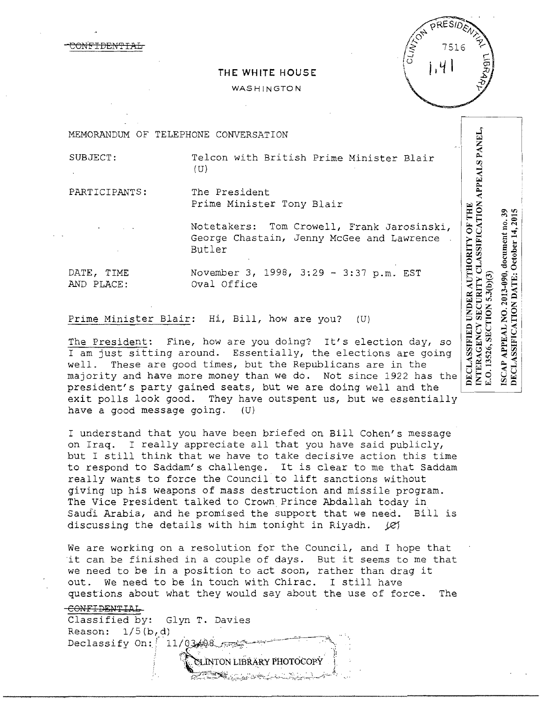$1.4$ 

## **THE WHITE HOUSE**

## WASHINGTON

MEMORANDUM OF TELEPHONE CONVERSATION

SUBJECT: Telcon with British Prime Minister Blair (U)

PARTICIPANTS: The President Prime Minister Tony Blair

> Notetakers: Tom Crowell, Frank Jarosinski, George Chastain, Jenny McGee and Lawrence. Butler

AND PLACE: Oval Office

N<del>FIDEN'I</del>

DATE, TIME November 3, 1998, 3:29 - 3:37 p.m. EST

Prime Minister Blair: Hi, Bill, how are you? (U)

The President: Fine, how are you doing? It's election day, so I am just sitting around. Essentially, the elections are going well. These are good times, but the Republicans are in the majority and have more money than we do. Not since 1922 has the president's party gained seats, but we are doing well and the exit polls look good. They have outspent us, but we essentially have a good message going. (U)

I understand that you have been briefed on Bill Cohen's message on Iraq. I really appreciate all that you have said publicly, but I still think that we have to take decisive action this time<br>to respond to Saddam's challenge. It is clear to me that Saddam to respond to Saddam's challenge. really wants to force the Council to lift sanctions without giving up his weapons of mass destruction and missile program. The Vice President talked to Crown Prince Abdallah today in Saud'i Arabia, and he promised the support that we need. Bill is discussing the details with him tonight in Riyadh.  $\Box$ (2)

We are working on a resolution for the Council, and I hope that it can be finished in a couple of days. But it seems to me that we need to be in a position to act soon, rather than drag it out. We need to be in touch with Chirac. I still have questions about what they would say about the use of force. The

i?;'~:~;~!:~~:~J~·,.,,;'i;-.~.{~**\_\_**,\_\_~'\_:\~.~-~~-:~:---/''>-- r,\.

## CONFIDENTIAL

Classified by: Glyn T. Davies Reason:  $1/5(b,d)$ Declassify On:  $11/03/08$  $\infty$ LINTON LIBRARY PHOTOCOPY

ISCAP APPEAL NO. 2013-090, document no. 39<br>DECLASSIFICATION DATE: October 14, 2015 .O. 13526, SECTION 5.3(b)(3)

INTERAGENCY SECURITY CLASSIFICATION APPEALS PANEL,

**OF THE** 

DECLASSIFIED UNDER AUTHORITY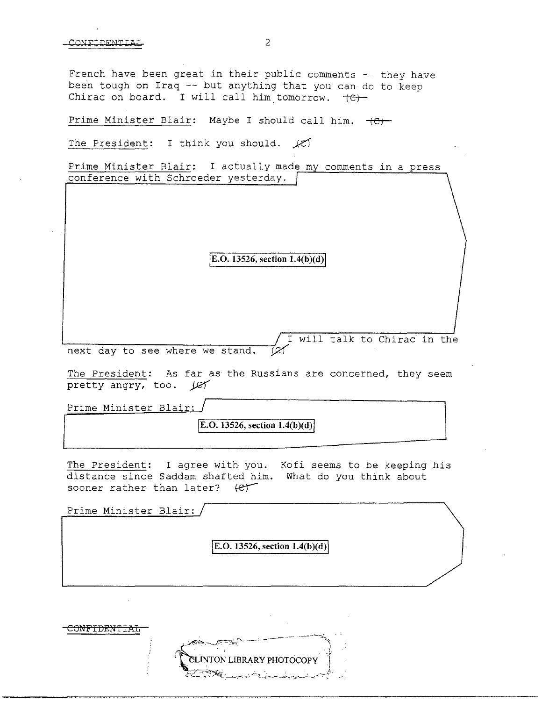French have been great in their public comments  $-$  they have been tough on Iraq -- but anything that you can do to keep Chirac on board. I will call him tomorrow.  $\leftarrow$ 

Prime Minister Blair: Maybe I should call him.  $+C$ 

The President: I think you should.  $f$ 

Prime Minister Blair: I actually made my comments in a press conference with Schroeder yesterday.

 $|E.O. 13526, section 1.4(b)(d)|$ 

I will talk to Chirac in the next day to see where we stand.  $\varnothing$ 

The President: As far as the Russians are concerned, they seem pretty angry, too. (ey

Prime Minister Blair:

**JE.O. 13526, section 1.4(b )(d)** <sup>J</sup>

The President: I agree with you. Kofi seems to be keeping his distance since Saddam shafted him. What do you think about sooner rather than later?  $\left\{\mathcal{C}\right\}$ 

Prime Minister Blair:  $E.O. 13526$ , section  $1.4(b)(d)$